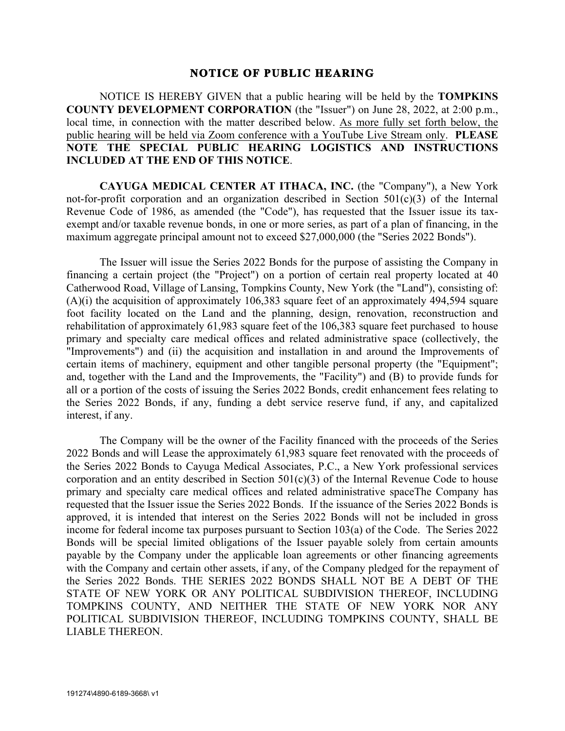## **NOTICE OF PUBLIC HEARING**

NOTICE IS HEREBY GIVEN that a public hearing will be held by the **TOMPKINS COUNTY DEVELOPMENT CORPORATION** (the "Issuer") on June 28, 2022, at 2:00 p.m., local time, in connection with the matter described below. As more fully set forth below, the public hearing will be held via Zoom conference with a YouTube Live Stream only. **PLEASE NOTE THE SPECIAL PUBLIC HEARING LOGISTICS AND INSTRUCTIONS INCLUDED AT THE END OF THIS NOTICE**.

**CAYUGA MEDICAL CENTER AT ITHACA, INC.** (the "Company"), a New York not-for-profit corporation and an organization described in Section 501(c)(3) of the Internal Revenue Code of 1986, as amended (the "Code"), has requested that the Issuer issue its taxexempt and/or taxable revenue bonds, in one or more series, as part of a plan of financing, in the maximum aggregate principal amount not to exceed \$27,000,000 (the "Series 2022 Bonds").

The Issuer will issue the Series 2022 Bonds for the purpose of assisting the Company in financing a certain project (the "Project") on a portion of certain real property located at 40 Catherwood Road, Village of Lansing, Tompkins County, New York (the "Land"), consisting of:  $(A)(i)$  the acquisition of approximately 106,383 square feet of an approximately 494,594 square foot facility located on the Land and the planning, design, renovation, reconstruction and rehabilitation of approximately 61,983 square feet of the 106,383 square feet purchased to house primary and specialty care medical offices and related administrative space (collectively, the "Improvements") and (ii) the acquisition and installation in and around the Improvements of certain items of machinery, equipment and other tangible personal property (the "Equipment"; and, together with the Land and the Improvements, the "Facility") and (B) to provide funds for all or a portion of the costs of issuing the Series 2022 Bonds, credit enhancement fees relating to the Series 2022 Bonds, if any, funding a debt service reserve fund, if any, and capitalized interest, if any.

The Company will be the owner of the Facility financed with the proceeds of the Series 2022 Bonds and will Lease the approximately 61,983 square feet renovated with the proceeds of the Series 2022 Bonds to Cayuga Medical Associates, P.C., a New York professional services corporation and an entity described in Section  $501(c)(3)$  of the Internal Revenue Code to house primary and specialty care medical offices and related administrative spaceThe Company has requested that the Issuer issue the Series 2022 Bonds. If the issuance of the Series 2022 Bonds is approved, it is intended that interest on the Series 2022 Bonds will not be included in gross income for federal income tax purposes pursuant to Section 103(a) of the Code. The Series 2022 Bonds will be special limited obligations of the Issuer payable solely from certain amounts payable by the Company under the applicable loan agreements or other financing agreements with the Company and certain other assets, if any, of the Company pledged for the repayment of the Series 2022 Bonds. THE SERIES 2022 BONDS SHALL NOT BE A DEBT OF THE STATE OF NEW YORK OR ANY POLITICAL SUBDIVISION THEREOF, INCLUDING TOMPKINS COUNTY, AND NEITHER THE STATE OF NEW YORK NOR ANY POLITICAL SUBDIVISION THEREOF, INCLUDING TOMPKINS COUNTY, SHALL BE LIABLE THEREON.